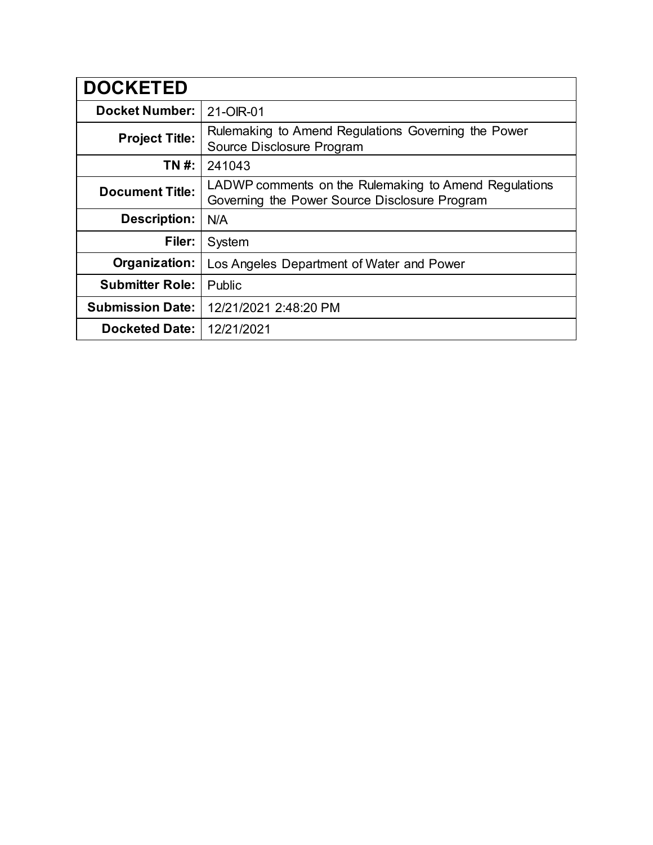| <b>DOCKETED</b>         |                                                                                                        |
|-------------------------|--------------------------------------------------------------------------------------------------------|
| <b>Docket Number:</b>   | 21-OIR-01                                                                                              |
| <b>Project Title:</b>   | Rulemaking to Amend Regulations Governing the Power<br>Source Disclosure Program                       |
| TN #:                   | 241043                                                                                                 |
| <b>Document Title:</b>  | LADWP comments on the Rulemaking to Amend Regulations<br>Governing the Power Source Disclosure Program |
| <b>Description:</b>     | N/A                                                                                                    |
| Filer:                  | System                                                                                                 |
| Organization:           | Los Angeles Department of Water and Power                                                              |
| <b>Submitter Role:</b>  | <b>Public</b>                                                                                          |
| <b>Submission Date:</b> | 12/21/2021 2:48:20 PM                                                                                  |
| <b>Docketed Date:</b>   | 12/21/2021                                                                                             |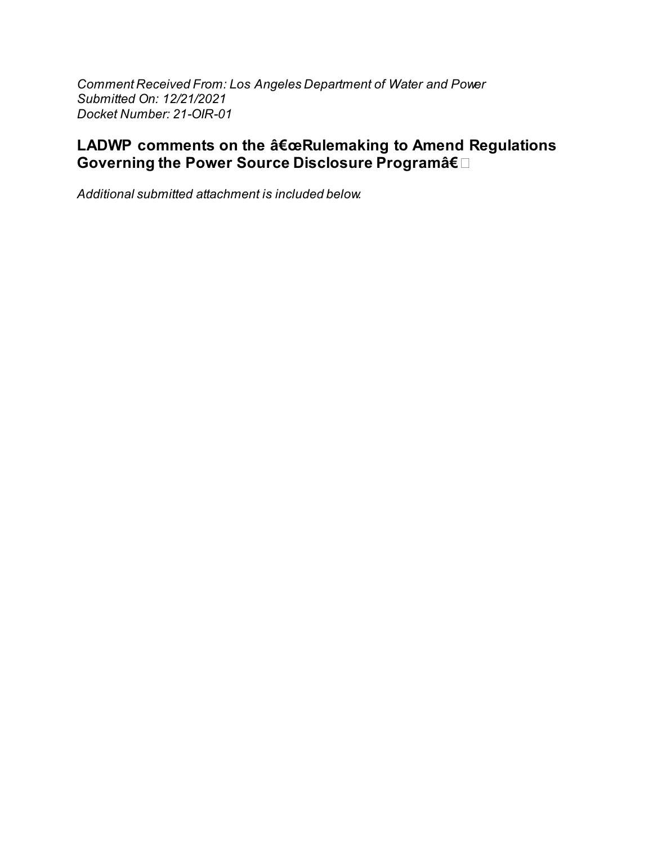Comment Received From: Los Angeles Department of Water and Power Submitted On: 12/21/2021 Docket Number: 21-OIR-01

# LADWP comments on the "Rulemaking to Amend Regulations Governing the Power Source Disclosure Programâ€.

Additional submitted attachment is included below.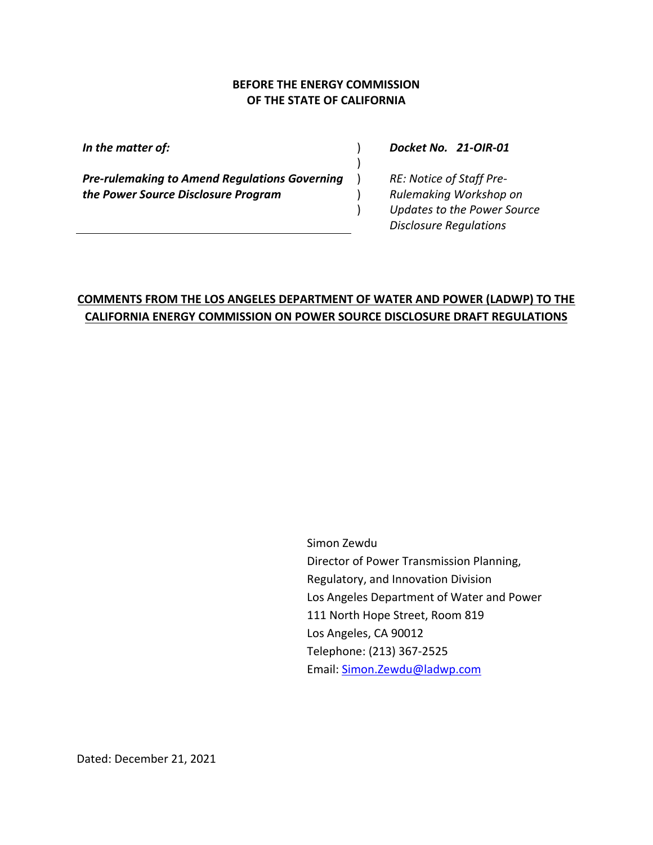#### **BEFORE THE ENERGY COMMISSION OF THE STATE OF CALIFORNIA**

)

 $\lambda$  $\lambda$  $\lambda$ 

*In the matter of:* )

*Pre-rulemaking to Amend Regulations Governing the Power Source Disclosure Program*

*Docket No. 21-OIR-01*

*RE: Notice of Staff Pre-Rulemaking Workshop on Updates to the Power Source Disclosure Regulations*

# **COMMENTS FROM THE LOS ANGELES DEPARTMENT OF WATER AND POWER (LADWP) TO THE CALIFORNIA ENERGY COMMISSION ON POWER SOURCE DISCLOSURE DRAFT REGULATIONS**

Simon Zewdu Director of Power Transmission Planning, Regulatory, and Innovation Division Los Angeles Department of Water and Power 111 North Hope Street, Room 819 Los Angeles, CA 90012 Telephone: (213) 367-2525 Email: [Simon.Zewdu@ladwp.com](mailto:Simon.Zewdu@ladwp.com)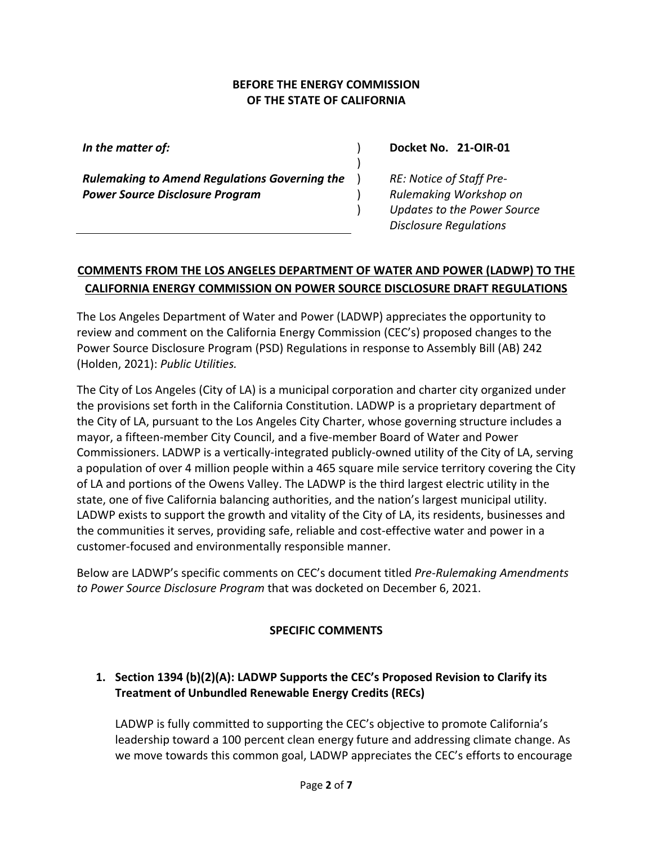#### **BEFORE THE ENERGY COMMISSION OF THE STATE OF CALIFORNIA**

)

 $\lambda$ ) )

*In the matter of:* )

*Rulemaking to Amend Regulations Governing the Power Source Disclosure Program*

#### **Docket No. 21-OIR-01**

*RE: Notice of Staff Pre-Rulemaking Workshop on Updates to the Power Source Disclosure Regulations*

### **COMMENTS FROM THE LOS ANGELES DEPARTMENT OF WATER AND POWER (LADWP) TO THE CALIFORNIA ENERGY COMMISSION ON POWER SOURCE DISCLOSURE DRAFT REGULATIONS**

The Los Angeles Department of Water and Power (LADWP) appreciates the opportunity to review and comment on the California Energy Commission (CEC's) proposed changes to the Power Source Disclosure Program (PSD) Regulations in response to Assembly Bill (AB) 242 (Holden, 2021): *Public Utilities.*

The City of Los Angeles (City of LA) is a municipal corporation and charter city organized under the provisions set forth in the California Constitution. LADWP is a proprietary department of the City of LA, pursuant to the Los Angeles City Charter, whose governing structure includes a mayor, a fifteen-member City Council, and a five‐member Board of Water and Power Commissioners. LADWP is a vertically-integrated publicly-owned utility of the City of LA, serving a population of over 4 million people within a 465 square mile service territory covering the City of LA and portions of the Owens Valley. The LADWP is the third largest electric utility in the state, one of five California balancing authorities, and the nation's largest municipal utility. LADWP exists to support the growth and vitality of the City of LA, its residents, businesses and the communities it serves, providing safe, reliable and cost-effective water and power in a customer-focused and environmentally responsible manner.

Below are LADWP's specific comments on CEC's document titled *Pre-Rulemaking Amendments to Power Source Disclosure Program* that was docketed on December 6, 2021.

#### **SPECIFIC COMMENTS**

# **1. Section 1394 (b)(2)(A): LADWP Supports the CEC's Proposed Revision to Clarify its Treatment of Unbundled Renewable Energy Credits (RECs)**

LADWP is fully committed to supporting the CEC's objective to promote California's leadership toward a 100 percent clean energy future and addressing climate change. As we move towards this common goal, LADWP appreciates the CEC's efforts to encourage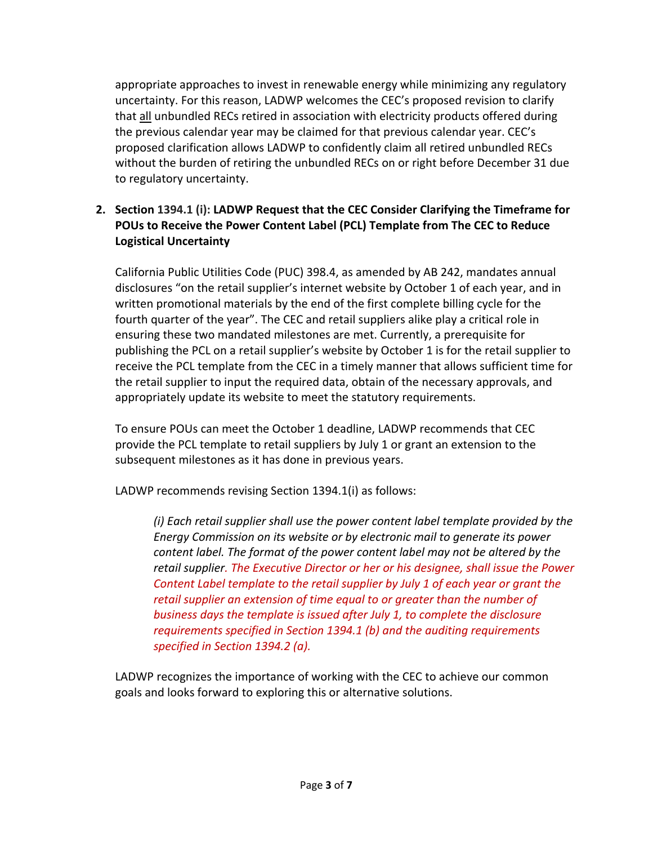appropriate approaches to invest in renewable energy while minimizing any regulatory uncertainty. For this reason, LADWP welcomes the CEC's proposed revision to clarify that all unbundled RECs retired in association with electricity products offered during the previous calendar year may be claimed for that previous calendar year. CEC's proposed clarification allows LADWP to confidently claim all retired unbundled RECs without the burden of retiring the unbundled RECs on or right before December 31 due to regulatory uncertainty.

### **2. Section 1394.1 (i): LADWP Request that the CEC Consider Clarifying the Timeframe for POUs to Receive the Power Content Label (PCL) Template from The CEC to Reduce Logistical Uncertainty**

California Public Utilities Code (PUC) 398.4, as amended by AB 242, mandates annual disclosures "on the retail supplier's internet website by October 1 of each year, and in written promotional materials by the end of the first complete billing cycle for the fourth quarter of the year". The CEC and retail suppliers alike play a critical role in ensuring these two mandated milestones are met. Currently, a prerequisite for publishing the PCL on a retail supplier's website by October 1 is for the retail supplier to receive the PCL template from the CEC in a timely manner that allows sufficient time for the retail supplier to input the required data, obtain of the necessary approvals, and appropriately update its website to meet the statutory requirements.

To ensure POUs can meet the October 1 deadline, LADWP recommends that CEC provide the PCL template to retail suppliers by July 1 or grant an extension to the subsequent milestones as it has done in previous years.

LADWP recommends revising Section 1394.1(i) as follows:

*(i) Each retail supplier shall use the power content label template provided by the Energy Commission on its website or by electronic mail to generate its power content label. The format of the power content label may not be altered by the retail supplier. The Executive Director or her or his designee, shall issue the Power Content Label template to the retail supplier by July 1 of each year or grant the retail supplier an extension of time equal to or greater than the number of business days the template is issued after July 1, to complete the disclosure requirements specified in Section 1394.1 (b) and the auditing requirements specified in Section 1394.2 (a).*

LADWP recognizes the importance of working with the CEC to achieve our common goals and looks forward to exploring this or alternative solutions.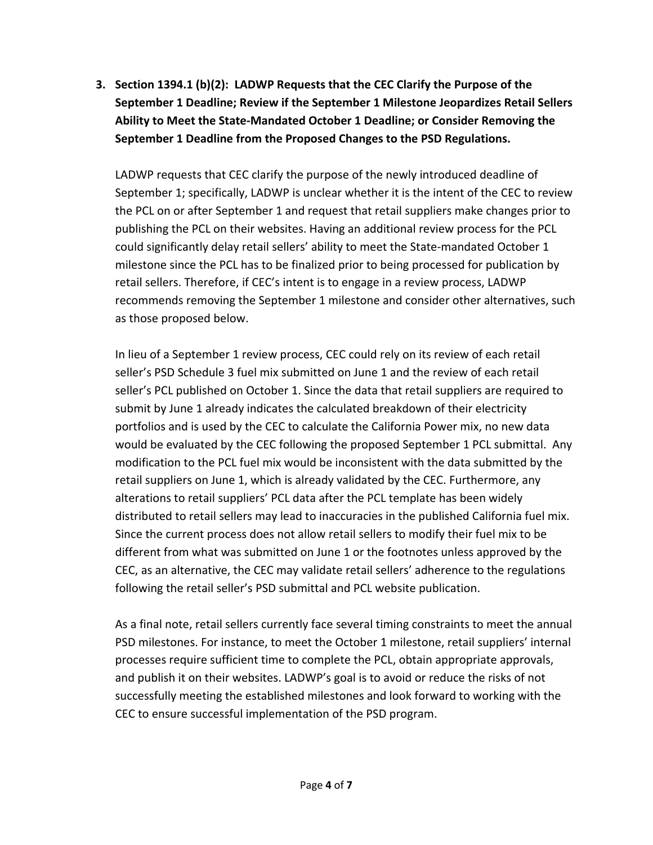**3. Section 1394.1 (b)(2): LADWP Requests that the CEC Clarify the Purpose of the September 1 Deadline; Review if the September 1 Milestone Jeopardizes Retail Sellers Ability to Meet the State-Mandated October 1 Deadline; or Consider Removing the September 1 Deadline from the Proposed Changes to the PSD Regulations.**

LADWP requests that CEC clarify the purpose of the newly introduced deadline of September 1; specifically, LADWP is unclear whether it is the intent of the CEC to review the PCL on or after September 1 and request that retail suppliers make changes prior to publishing the PCL on their websites. Having an additional review process for the PCL could significantly delay retail sellers' ability to meet the State-mandated October 1 milestone since the PCL has to be finalized prior to being processed for publication by retail sellers. Therefore, if CEC's intent is to engage in a review process, LADWP recommends removing the September 1 milestone and consider other alternatives, such as those proposed below.

In lieu of a September 1 review process, CEC could rely on its review of each retail seller's PSD Schedule 3 fuel mix submitted on June 1 and the review of each retail seller's PCL published on October 1. Since the data that retail suppliers are required to submit by June 1 already indicates the calculated breakdown of their electricity portfolios and is used by the CEC to calculate the California Power mix, no new data would be evaluated by the CEC following the proposed September 1 PCL submittal. Any modification to the PCL fuel mix would be inconsistent with the data submitted by the retail suppliers on June 1, which is already validated by the CEC. Furthermore, any alterations to retail suppliers' PCL data after the PCL template has been widely distributed to retail sellers may lead to inaccuracies in the published California fuel mix. Since the current process does not allow retail sellers to modify their fuel mix to be different from what was submitted on June 1 or the footnotes unless approved by the CEC, as an alternative, the CEC may validate retail sellers' adherence to the regulations following the retail seller's PSD submittal and PCL website publication.

As a final note, retail sellers currently face several timing constraints to meet the annual PSD milestones. For instance, to meet the October 1 milestone, retail suppliers' internal processes require sufficient time to complete the PCL, obtain appropriate approvals, and publish it on their websites. LADWP's goal is to avoid or reduce the risks of not successfully meeting the established milestones and look forward to working with the CEC to ensure successful implementation of the PSD program.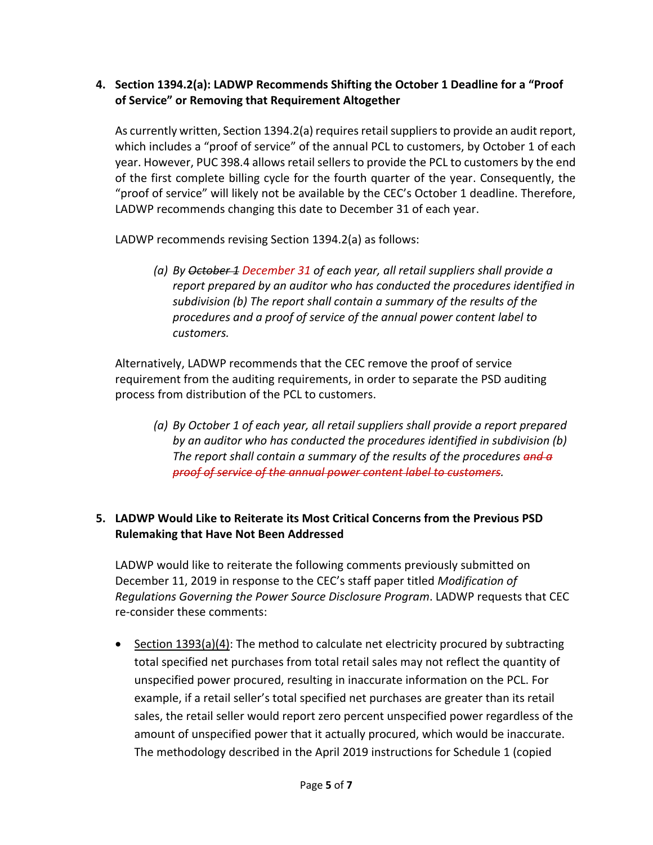### **4. Section 1394.2(a): LADWP Recommends Shifting the October 1 Deadline for a "Proof of Service" or Removing that Requirement Altogether**

As currently written, Section 1394.2(a) requires retail suppliersto provide an audit report, which includes a "proof of service" of the annual PCL to customers, by October 1 of each year. However, PUC 398.4 allows retail sellers to provide the PCL to customers by the end of the first complete billing cycle for the fourth quarter of the year. Consequently, the "proof of service" will likely not be available by the CEC's October 1 deadline. Therefore, LADWP recommends changing this date to December 31 of each year.

LADWP recommends revising Section 1394.2(a) as follows:

*(a) By October 1 December 31 of each year, all retail suppliers shall provide a report prepared by an auditor who has conducted the procedures identified in subdivision (b) The report shall contain a summary of the results of the procedures and a proof of service of the annual power content label to customers.*

Alternatively, LADWP recommends that the CEC remove the proof of service requirement from the auditing requirements, in order to separate the PSD auditing process from distribution of the PCL to customers.

*(a) By October 1 of each year, all retail suppliers shall provide a report prepared by an auditor who has conducted the procedures identified in subdivision (b) The report shall contain a summary of the results of the procedures and a proof of service of the annual power content label to customers.*

### **5. LADWP Would Like to Reiterate its Most Critical Concerns from the Previous PSD Rulemaking that Have Not Been Addressed**

LADWP would like to reiterate the following comments previously submitted on December 11, 2019 in response to the CEC's staff paper titled *Modification of Regulations Governing the Power Source Disclosure Program*. LADWP requests that CEC re-consider these comments:

• Section  $1393(a)(4)$ : The method to calculate net electricity procured by subtracting total specified net purchases from total retail sales may not reflect the quantity of unspecified power procured, resulting in inaccurate information on the PCL. For example, if a retail seller's total specified net purchases are greater than its retail sales, the retail seller would report zero percent unspecified power regardless of the amount of unspecified power that it actually procured, which would be inaccurate. The methodology described in the April 2019 instructions for Schedule 1 (copied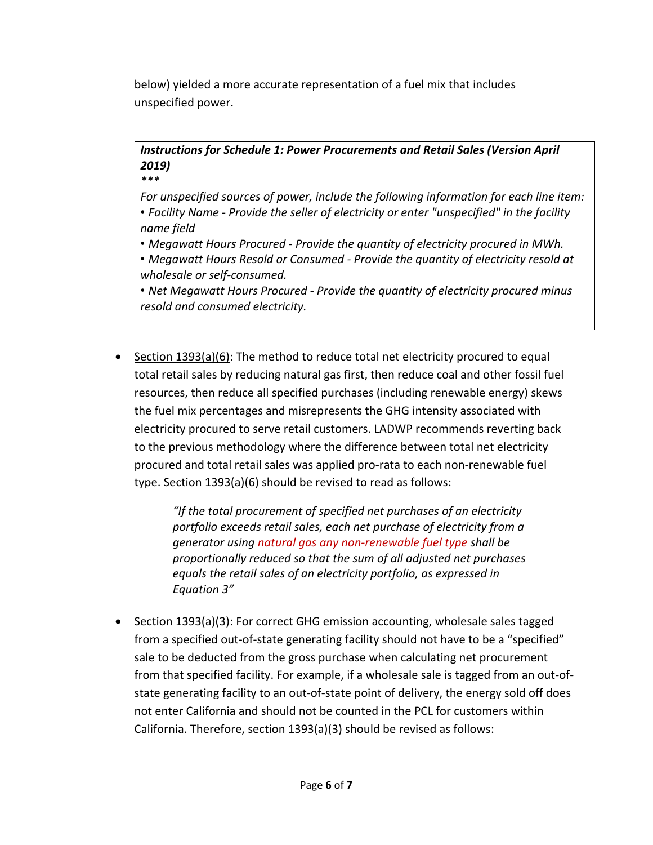below) yielded a more accurate representation of a fuel mix that includes unspecified power.

# *Instructions for Schedule 1: Power Procurements and Retail Sales (Version April 2019)*

*\*\*\**

*For unspecified sources of power, include the following information for each line item:* • *Facility Name - Provide the seller of electricity or enter "unspecified" in the facility name field*

- *Megawatt Hours Procured - Provide the quantity of electricity procured in MWh.*
- *Megawatt Hours Resold or Consumed - Provide the quantity of electricity resold at wholesale or self-consumed.*

• *Net Megawatt Hours Procured - Provide the quantity of electricity procured minus resold and consumed electricity.*

• Section  $1393(a)(6)$ : The method to reduce total net electricity procured to equal total retail sales by reducing natural gas first, then reduce coal and other fossil fuel resources, then reduce all specified purchases (including renewable energy) skews the fuel mix percentages and misrepresents the GHG intensity associated with electricity procured to serve retail customers. LADWP recommends reverting back to the previous methodology where the difference between total net electricity procured and total retail sales was applied pro-rata to each non-renewable fuel type. Section 1393(a)(6) should be revised to read as follows:

> *"If the total procurement of specified net purchases of an electricity portfolio exceeds retail sales, each net purchase of electricity from a generator using natural gas any non-renewable fuel type shall be proportionally reduced so that the sum of all adjusted net purchases equals the retail sales of an electricity portfolio, as expressed in Equation 3"*

• Section 1393(a)(3): For correct GHG emission accounting, wholesale sales tagged from a specified out-of-state generating facility should not have to be a "specified" sale to be deducted from the gross purchase when calculating net procurement from that specified facility. For example, if a wholesale sale is tagged from an out-ofstate generating facility to an out-of-state point of delivery, the energy sold off does not enter California and should not be counted in the PCL for customers within California. Therefore, section 1393(a)(3) should be revised as follows: